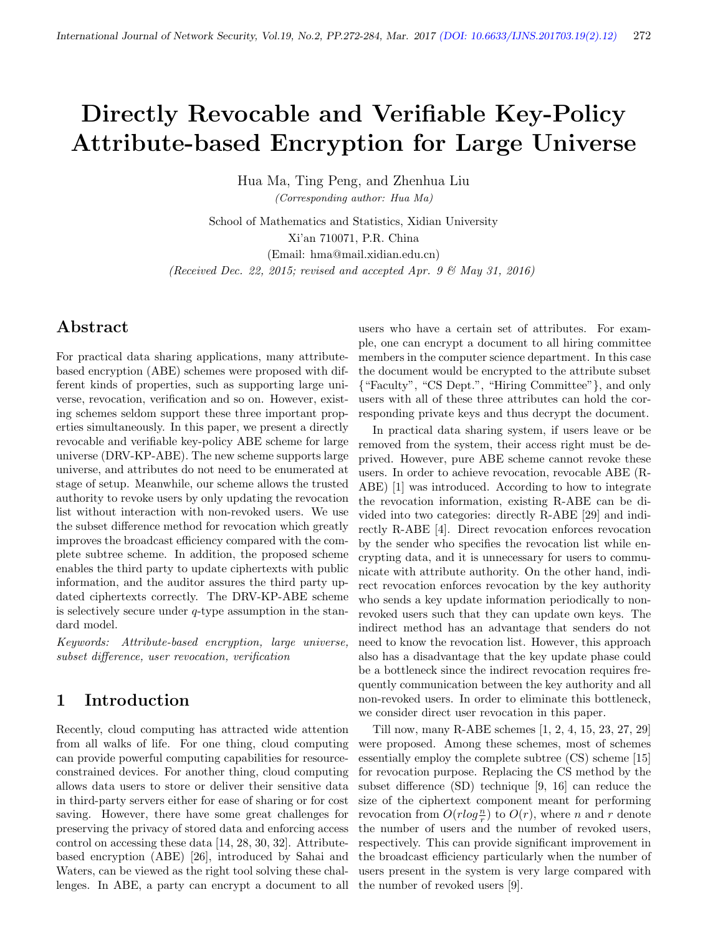# Directly Revocable and Verifiable Key-Policy Attribute-based Encryption for Large Universe

Hua Ma, Ting Peng, and Zhenhua Liu (Corresponding author: Hua Ma)

School of Mathematics and Statistics, Xidian University Xi'an 710071, P.R. China (Email: hma@mail.xidian.edu.cn) (Received Dec. 22, 2015; revised and accepted Apr. 9  $\mathcal{B}$  May 31, 2016)

# Abstract

For practical data sharing applications, many attributebased encryption (ABE) schemes were proposed with different kinds of properties, such as supporting large universe, revocation, verification and so on. However, existing schemes seldom support these three important properties simultaneously. In this paper, we present a directly revocable and verifiable key-policy ABE scheme for large universe (DRV-KP-ABE). The new scheme supports large universe, and attributes do not need to be enumerated at stage of setup. Meanwhile, our scheme allows the trusted authority to revoke users by only updating the revocation list without interaction with non-revoked users. We use the subset difference method for revocation which greatly improves the broadcast efficiency compared with the complete subtree scheme. In addition, the proposed scheme enables the third party to update ciphertexts with public information, and the auditor assures the third party updated ciphertexts correctly. The DRV-KP-ABE scheme is selectively secure under  $q$ -type assumption in the standard model.

Keywords: Attribute-based encryption, large universe, subset difference, user revocation, verification

# 1 Introduction

Recently, cloud computing has attracted wide attention from all walks of life. For one thing, cloud computing can provide powerful computing capabilities for resourceconstrained devices. For another thing, cloud computing allows data users to store or deliver their sensitive data in third-party servers either for ease of sharing or for cost saving. However, there have some great challenges for preserving the privacy of stored data and enforcing access control on accessing these data [14, 28, 30, 32]. Attributebased encryption (ABE) [26], introduced by Sahai and Waters, can be viewed as the right tool solving these challenges. In ABE, a party can encrypt a document to all users who have a certain set of attributes. For example, one can encrypt a document to all hiring committee members in the computer science department. In this case the document would be encrypted to the attribute subset {"Faculty", "CS Dept.", "Hiring Committee"}, and only users with all of these three attributes can hold the corresponding private keys and thus decrypt the document.

In practical data sharing system, if users leave or be removed from the system, their access right must be deprived. However, pure ABE scheme cannot revoke these users. In order to achieve revocation, revocable ABE (R-ABE) [1] was introduced. According to how to integrate the revocation information, existing R-ABE can be divided into two categories: directly R-ABE [29] and indirectly R-ABE [4]. Direct revocation enforces revocation by the sender who specifies the revocation list while encrypting data, and it is unnecessary for users to communicate with attribute authority. On the other hand, indirect revocation enforces revocation by the key authority who sends a key update information periodically to nonrevoked users such that they can update own keys. The indirect method has an advantage that senders do not need to know the revocation list. However, this approach also has a disadvantage that the key update phase could be a bottleneck since the indirect revocation requires frequently communication between the key authority and all non-revoked users. In order to eliminate this bottleneck, we consider direct user revocation in this paper.

Till now, many R-ABE schemes [1, 2, 4, 15, 23, 27, 29] were proposed. Among these schemes, most of schemes essentially employ the complete subtree (CS) scheme [15] for revocation purpose. Replacing the CS method by the subset difference (SD) technique [9, 16] can reduce the size of the ciphertext component meant for performing revocation from  $O(r \log \frac{n}{r})$  to  $O(r)$ , where *n* and *r* denote the number of users and the number of revoked users, respectively. This can provide significant improvement in the broadcast efficiency particularly when the number of users present in the system is very large compared with the number of revoked users [9].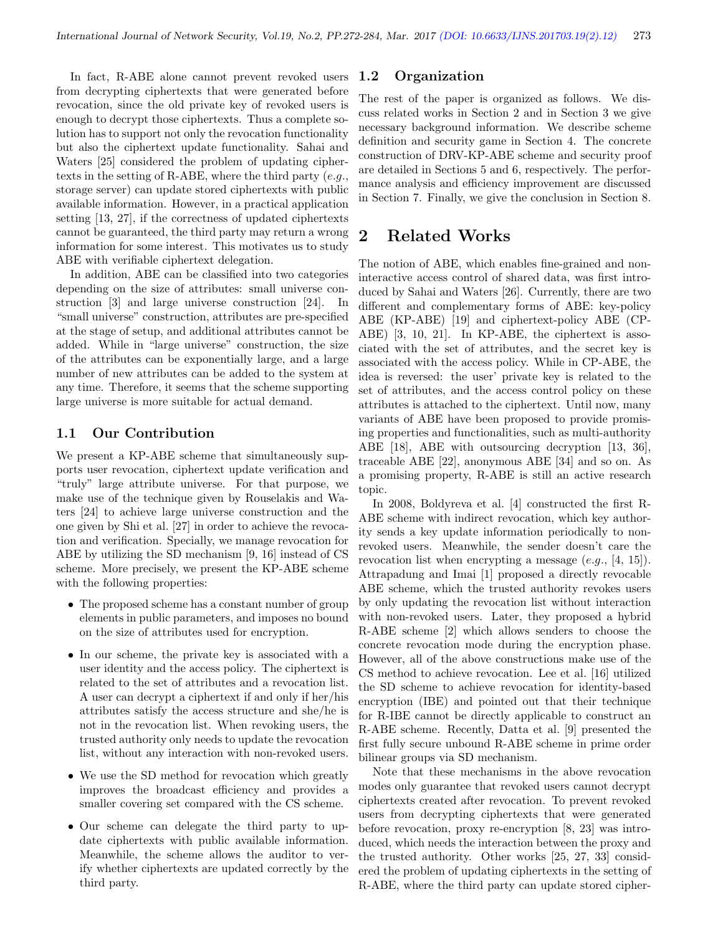In fact, R-ABE alone cannot prevent revoked users from decrypting ciphertexts that were generated before revocation, since the old private key of revoked users is enough to decrypt those ciphertexts. Thus a complete solution has to support not only the revocation functionality but also the ciphertext update functionality. Sahai and Waters [25] considered the problem of updating ciphertexts in the setting of R-ABE, where the third party  $(e.g.,$ storage server) can update stored ciphertexts with public available information. However, in a practical application setting [13, 27], if the correctness of updated ciphertexts cannot be guaranteed, the third party may return a wrong information for some interest. This motivates us to study ABE with verifiable ciphertext delegation.

In addition, ABE can be classified into two categories depending on the size of attributes: small universe construction [3] and large universe construction [24]. In "small universe" construction, attributes are pre-specified at the stage of setup, and additional attributes cannot be added. While in "large universe" construction, the size of the attributes can be exponentially large, and a large number of new attributes can be added to the system at any time. Therefore, it seems that the scheme supporting large universe is more suitable for actual demand.

#### 1.1 Our Contribution

We present a KP-ABE scheme that simultaneously supports user revocation, ciphertext update verification and "truly" large attribute universe. For that purpose, we make use of the technique given by Rouselakis and Waters [24] to achieve large universe construction and the one given by Shi et al. [27] in order to achieve the revocation and verification. Specially, we manage revocation for ABE by utilizing the SD mechanism [9, 16] instead of CS scheme. More precisely, we present the KP-ABE scheme with the following properties:

- The proposed scheme has a constant number of group elements in public parameters, and imposes no bound on the size of attributes used for encryption.
- In our scheme, the private key is associated with a user identity and the access policy. The ciphertext is related to the set of attributes and a revocation list. A user can decrypt a ciphertext if and only if her/his attributes satisfy the access structure and she/he is not in the revocation list. When revoking users, the trusted authority only needs to update the revocation list, without any interaction with non-revoked users.
- We use the SD method for revocation which greatly improves the broadcast efficiency and provides a smaller covering set compared with the CS scheme.
- Our scheme can delegate the third party to update ciphertexts with public available information. Meanwhile, the scheme allows the auditor to verify whether ciphertexts are updated correctly by the third party.

#### 1.2 Organization

The rest of the paper is organized as follows. We discuss related works in Section 2 and in Section 3 we give necessary background information. We describe scheme definition and security game in Section 4. The concrete construction of DRV-KP-ABE scheme and security proof are detailed in Sections 5 and 6, respectively. The performance analysis and efficiency improvement are discussed in Section 7. Finally, we give the conclusion in Section 8.

# 2 Related Works

The notion of ABE, which enables fine-grained and noninteractive access control of shared data, was first introduced by Sahai and Waters [26]. Currently, there are two different and complementary forms of ABE: key-policy ABE (KP-ABE) [19] and ciphertext-policy ABE (CP-ABE) [3, 10, 21]. In KP-ABE, the ciphertext is associated with the set of attributes, and the secret key is associated with the access policy. While in CP-ABE, the idea is reversed: the user' private key is related to the set of attributes, and the access control policy on these attributes is attached to the ciphertext. Until now, many variants of ABE have been proposed to provide promising properties and functionalities, such as multi-authority ABE [18], ABE with outsourcing decryption [13, 36], traceable ABE [22], anonymous ABE [34] and so on. As a promising property, R-ABE is still an active research topic.

In 2008, Boldyreva et al. [4] constructed the first R-ABE scheme with indirect revocation, which key authority sends a key update information periodically to nonrevoked users. Meanwhile, the sender doesn't care the revocation list when encrypting a message  $(e.g., [4, 15])$ . Attrapadung and Imai [1] proposed a directly revocable ABE scheme, which the trusted authority revokes users by only updating the revocation list without interaction with non-revoked users. Later, they proposed a hybrid R-ABE scheme [2] which allows senders to choose the concrete revocation mode during the encryption phase. However, all of the above constructions make use of the CS method to achieve revocation. Lee et al. [16] utilized the SD scheme to achieve revocation for identity-based encryption (IBE) and pointed out that their technique for R-IBE cannot be directly applicable to construct an R-ABE scheme. Recently, Datta et al. [9] presented the first fully secure unbound R-ABE scheme in prime order bilinear groups via SD mechanism.

Note that these mechanisms in the above revocation modes only guarantee that revoked users cannot decrypt ciphertexts created after revocation. To prevent revoked users from decrypting ciphertexts that were generated before revocation, proxy re-encryption [8, 23] was introduced, which needs the interaction between the proxy and the trusted authority. Other works [25, 27, 33] considered the problem of updating ciphertexts in the setting of R-ABE, where the third party can update stored cipher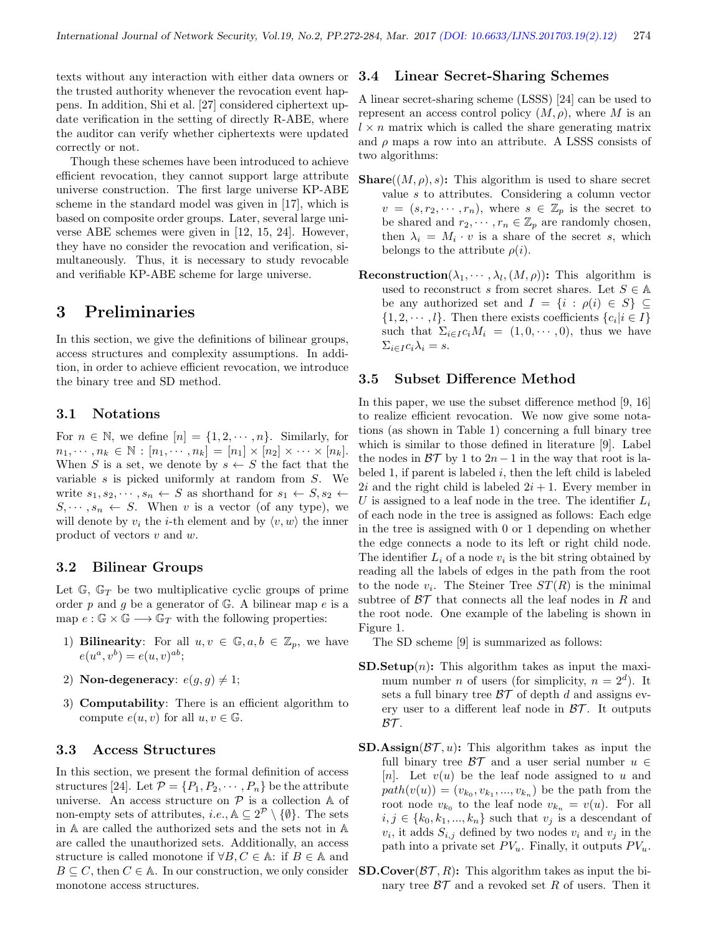texts without any interaction with either data owners or the trusted authority whenever the revocation event happens. In addition, Shi et al. [27] considered ciphertext update verification in the setting of directly R-ABE, where the auditor can verify whether ciphertexts were updated correctly or not.

Though these schemes have been introduced to achieve efficient revocation, they cannot support large attribute universe construction. The first large universe KP-ABE scheme in the standard model was given in [17], which is based on composite order groups. Later, several large universe ABE schemes were given in [12, 15, 24]. However, they have no consider the revocation and verification, simultaneously. Thus, it is necessary to study revocable and verifiable KP-ABE scheme for large universe.

# 3 Preliminaries

In this section, we give the definitions of bilinear groups, access structures and complexity assumptions. In addition, in order to achieve efficient revocation, we introduce the binary tree and SD method.

#### 3.1 Notations

For  $n \in \mathbb{N}$ , we define  $[n] = \{1, 2, \dots, n\}$ . Similarly, for  $n_1, \dots, n_k \in \mathbb{N} : [n_1, \dots, n_k] = [n_1] \times [n_2] \times \dots \times [n_k].$ When S is a set, we denote by  $s \leftarrow S$  the fact that the variable  $s$  is picked uniformly at random from  $S$ . We write  $s_1, s_2, \dots, s_n \leftarrow S$  as shorthand for  $s_1 \leftarrow S, s_2 \leftarrow$  $S, \dots, s_n \leftarrow S$ . When v is a vector (of any type), we will denote by  $v_i$  the *i*-th element and by  $\langle v, w \rangle$  the inner product of vectors v and w.

#### 3.2 Bilinear Groups

Let  $\mathbb{G}$ ,  $\mathbb{G}_T$  be two multiplicative cyclic groups of prime order  $p$  and  $q$  be a generator of  $\mathbb{G}$ . A bilinear map  $e$  is a map  $e : \mathbb{G} \times \mathbb{G} \longrightarrow \mathbb{G}_T$  with the following properties:

- 1) Bilinearity: For all  $u, v \in \mathbb{G}, a, b \in \mathbb{Z}_p$ , we have  $e(u^a, v^b) = e(u, v)^{ab};$
- 2) Non-degeneracy:  $e(g, g) \neq 1$ ;
- 3) Computability: There is an efficient algorithm to compute  $e(u, v)$  for all  $u, v \in \mathbb{G}$ .

#### 3.3 Access Structures

In this section, we present the formal definition of access structures [24]. Let  $\mathcal{P} = \{P_1, P_2, \cdots, P_n\}$  be the attribute universe. An access structure on  $P$  is a collection  $A$  of non-empty sets of attributes, *i.e.*,  $\mathbb{A} \subseteq 2^{\mathcal{P}} \setminus \{\emptyset\}$ . The sets in A are called the authorized sets and the sets not in A are called the unauthorized sets. Additionally, an access structure is called monotone if  $\forall B, C \in \mathbb{A}$ : if  $B \in \mathbb{A}$  and  $B \subseteq C$ , then  $C \in A$ . In our construction, we only consider monotone access structures.

#### 3.4 Linear Secret-Sharing Schemes

A linear secret-sharing scheme (LSSS) [24] can be used to represent an access control policy  $(M, \rho)$ , where M is an  $l \times n$  matrix which is called the share generating matrix and  $\rho$  maps a row into an attribute. A LSSS consists of two algorithms:

- **Share**( $(M, \rho)$ , s): This algorithm is used to share secret value s to attributes. Considering a column vector  $v = (s, r_2, \dots, r_n)$ , where  $s \in \mathbb{Z}_p$  is the secret to be shared and  $r_2, \dots, r_n \in \mathbb{Z}_p$  are randomly chosen, then  $\lambda_i = M_i \cdot v$  is a share of the secret s, which belongs to the attribute  $\rho(i)$ .
- **Reconstruction**  $(\lambda_1, \dots, \lambda_l, (M, \rho))$ : This algorithm is used to reconstruct s from secret shares. Let  $S \in \mathbb{A}$ be any authorized set and  $I = \{i : \rho(i) \in S\} \subseteq$  $\{1, 2, \dots, l\}$ . Then there exists coefficients  $\{c_i | i \in I\}$ such that  $\Sigma_{i\in I}c_iM_i = (1,0,\cdots,0)$ , thus we have  $\Sigma_{i\in I}c_i\lambda_i=s.$

#### 3.5 Subset Difference Method

In this paper, we use the subset difference method [9, 16] to realize efficient revocation. We now give some notations (as shown in Table 1) concerning a full binary tree which is similar to those defined in literature [9]. Label the nodes in  $\beta\mathcal{T}$  by 1 to 2n − 1 in the way that root is labeled 1, if parent is labeled  $i$ , then the left child is labeled  $2i$  and the right child is labeled  $2i + 1$ . Every member in U is assigned to a leaf node in the tree. The identifier  $L_i$ of each node in the tree is assigned as follows: Each edge in the tree is assigned with 0 or 1 depending on whether the edge connects a node to its left or right child node. The identifier  $L_i$  of a node  $v_i$  is the bit string obtained by reading all the labels of edges in the path from the root to the node  $v_i$ . The Steiner Tree  $ST(R)$  is the minimal subtree of  $BT$  that connects all the leaf nodes in R and the root node. One example of the labeling is shown in Figure 1.

The SD scheme [9] is summarized as follows:

- **SD.Setup** $(n)$ : This algorithm takes as input the maximum number *n* of users (for simplicity,  $n = 2<sup>d</sup>$ ). It sets a full binary tree  $\beta \mathcal{T}$  of depth d and assigns every user to a different leaf node in  $\beta\mathcal{T}$ . It outputs  $BT$ .
- **SD.Assign** $(\mathcal{BT}, u)$ : This algorithm takes as input the full binary tree  $\beta \mathcal{T}$  and a user serial number  $u \in$ [n]. Let  $v(u)$  be the leaf node assigned to u and  $path(v(u)) = (v_{k_0}, v_{k_1}, ..., v_{k_n})$  be the path from the root node  $v_{k_0}$  to the leaf node  $v_{k_n} = v(u)$ . For all  $i, j \in \{k_0, k_1, ..., k_n\}$  such that  $v_j$  is a descendant of  $v_i$ , it adds  $S_{i,j}$  defined by two nodes  $v_i$  and  $v_j$  in the path into a private set  $PV_u$ . Finally, it outputs  $PV_u$ .
- **SD.Cover** $(\mathcal{BT}, R)$ : This algorithm takes as input the binary tree  $\beta\mathcal{T}$  and a revoked set R of users. Then it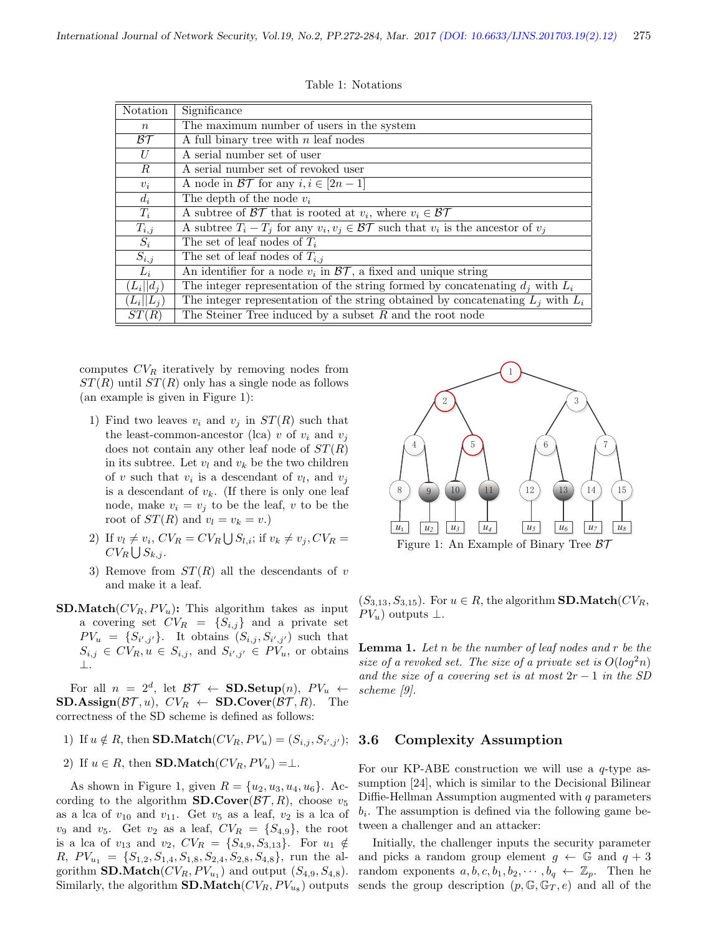| Notation         | Significance                                                                                       |
|------------------|----------------------------------------------------------------------------------------------------|
| $\,n$            | The maximum number of users in the system                                                          |
| BT               | A full binary tree with $n$ leaf nodes                                                             |
| U                | A serial number set of user                                                                        |
| $\boldsymbol{R}$ | A serial number set of revoked user                                                                |
| $v_i$            | A node in $\mathcal{BT}$ for any $i, i \in [2n-1]$                                                 |
| $d_i$            | The depth of the node $v_i$                                                                        |
| $T_i$            | A subtree of $\mathcal{BT}$ that is rooted at $v_i$ , where $v_i \in \mathcal{BT}$                 |
| $T_{i,j}$        | A subtree $T_i - T_j$ for any $v_i, v_j \in \mathcal{BT}$ such that $v_i$ is the ancestor of $v_i$ |
| $\overline{S_i}$ | The set of leaf nodes of $T_i$                                                                     |
| $S_{i,j}$        | The set of leaf nodes of $T_{i,j}$                                                                 |
| $L_i$            | An identifier for a node $v_i$ in $\overline{\mathcal{BT}}$ , a fixed and unique string            |
| $(L_i  d_i)$     | The integer representation of the string formed by concatenating $d_i$ with $L_i$                  |
| $(L_i  L_i)$     | The integer representation of the string obtained by concatenating $L_i$ with $L_i$                |
| ST(R)            | The Steiner Tree induced by a subset $R$ and the root node                                         |

Table 1: Notations

computes  $CV_R$  iteratively by removing nodes from  $ST(R)$  until  $ST(R)$  only has a single node as follows (an example is given in Figure 1):

- 1) Find two leaves  $v_i$  and  $v_j$  in  $ST(R)$  such that the least-common-ancestor (lca) v of  $v_i$  and  $v_j$ does not contain any other leaf node of  $ST(R)$ in its subtree. Let  $v_l$  and  $v_k$  be the two children of v such that  $v_i$  is a descendant of  $v_l$ , and  $v_j$ is a descendant of  $v_k$ . (If there is only one leaf node, make  $v_i = v_j$  to be the leaf, v to be the root of  $ST(R)$  and  $v_l = v_k = v.$ )
- 2) If  $v_l \neq v_i$ ,  $CV_R = CV_R \bigcup S_{l,i}$ ; if  $v_k \neq v_j$ ,  $CV_R =$  $CV_R \bigcup S_{k,j}$ .
- 3) Remove from  $ST(R)$  all the descendants of v and make it a leaf.
- **SD.Match**( $CV_R, PV_u$ ): This algorithm takes as input a covering set  $CV_R = \{S_{i,j}\}\$ and a private set  $PV_u = \{S_{i',j'}\}.$  It obtains  $(S_{i,j}, S_{i',j'})$  such that  $S_{i,j} \in CV_R, u \in S_{i,j}$ , and  $S_{i',j'} \in PV_u$ , or obtains ⊥.

For all  $n = 2^d$ , let  $\mathcal{BT} \leftarrow \mathbf{SD}.\mathbf{Setup}(n)$ ,  $PV_u \leftarrow$  $SD. Assign(\mathcal{BT}, u), CV_R \leftarrow SD.Cover(\mathcal{BT}, R)$ . The correctness of the SD scheme is defined as follows:

- 1) If  $u \notin R$ , then **SD.Match** $(CV_R, PV_u) = (S_{i,j}, S_{i',j'})$ ;
- 2) If  $u \in R$ , then **SD.Match**( $CV_R, PV_u$ ) =⊥.

As shown in Figure 1, given  $R = \{u_2, u_3, u_4, u_6\}$ . According to the algorithm **SD.Cover** $(\mathcal{BT}, R)$ , choose  $v_5$ as a lca of  $v_{10}$  and  $v_{11}$ . Get  $v_5$  as a leaf,  $v_2$  is a lca of  $v_9$  and  $v_5$ . Get  $v_2$  as a leaf,  $CV_R = \{S_{4,9}\}\text{, the root}$ is a lca of  $v_{13}$  and  $v_2$ ,  $CV_R = \{S_{4,9}, S_{3,13}\}.$  For  $u_1 \notin$  $R, PV_{u_1} = \{S_{1,2}, S_{1,4}, S_{1,8}, S_{2,4}, S_{2,8}, S_{4,8}\},$  run the algorithm **SD.Match**( $CV_R, PV_{u_1}$ ) and output ( $S_{4,9}, S_{4,8}$ ). Similarly, the algorithm **SD.Match**( $CV_R, PV_{u_8}$ ) outputs



 $(S_{3,13}, S_{3,15})$ . For  $u \in R$ , the algorithm **SD.Match**( $CV_R$ ,  $PV_u$ ) outputs  $\perp$ .

**Lemma 1.** Let  $n$  be the number of leaf nodes and  $r$  be the size of a revoked set. The size of a private set is  $O(log^2 n)$ and the size of a covering set is at most  $2r - 1$  in the SD scheme [9].

#### Complexity Assumption

For our KP-ABE construction we will use a  $q$ -type assumption [24], which is similar to the Decisional Bilinear Diffie-Hellman Assumption augmented with  $q$  parameters  $b_i$ . The assumption is defined via the following game between a challenger and an attacker:

Initially, the challenger inputs the security parameter and picks a random group element  $g \leftarrow \mathbb{G}$  and  $q + 3$ random exponents  $a, b, c, b_1, b_2, \dots, b_q \leftarrow \mathbb{Z}_p$ . Then he sends the group description  $(p, \mathbb{G}, \mathbb{G}_T, e)$  and all of the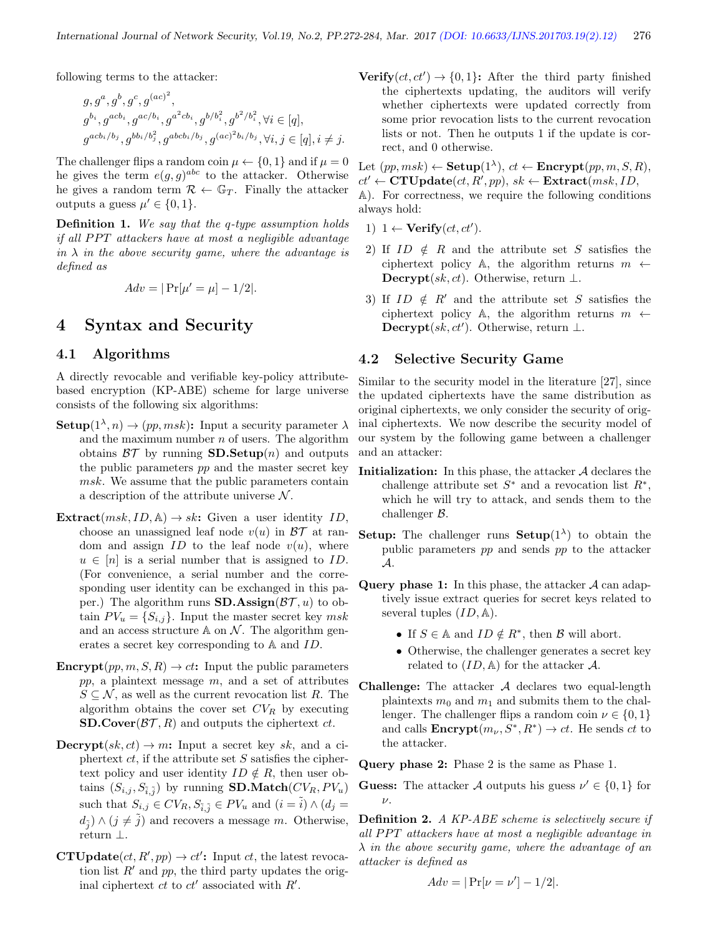following terms to the attacker:

$$
g, g^a, g^b, g^c, g^{(ac)^2},
$$
  
\n
$$
g^{b_i}, g^{acb_i}, g^{ac/b_i}, g^{a^2cb_i}, g^{b/b_i^2}, g^{b^2/b_i^2}, \forall i \in [q],
$$
  
\n
$$
g^{acb_i/b_j}, g^{bb_i/b_j^2}, g^{abc_b_i/b_j}, g^{(ac)^2b_i/b_j}, \forall i, j \in [q], i \neq j.
$$

The challenger flips a random coin  $\mu \leftarrow \{0, 1\}$  and if  $\mu = 0$ he gives the term  $e(g, g)^{abc}$  to the attacker. Otherwise he gives a random term  $\mathcal{R} \leftarrow \mathbb{G}_T$ . Finally the attacker outputs a guess  $\mu' \in \{0, 1\}.$ 

Definition 1. We say that the q-type assumption holds if all PPT attackers have at most a negligible advantage in  $\lambda$  in the above security game, where the advantage is defined as

$$
Adv = |\Pr[\mu' = \mu] - 1/2|.
$$

## 4 Syntax and Security

#### 4.1 Algorithms

A directly revocable and verifiable key-policy attributebased encryption (KP-ABE) scheme for large universe consists of the following six algorithms:

- **Setup** $(1^{\lambda}, n) \rightarrow (pp, msk)$ : Input a security parameter  $\lambda$ and the maximum number  $n$  of users. The algorithm obtains  $\beta \mathcal{T}$  by running **SD.Setup**(n) and outputs the public parameters pp and the master secret key msk. We assume that the public parameters contain a description of the attribute universe  $\mathcal N$ .
- Extract $(msk, ID, A) \rightarrow sk$ : Given a user identity ID, choose an unassigned leaf node  $v(u)$  in  $BT$  at random and assign  $ID$  to the leaf node  $v(u)$ , where  $u \in [n]$  is a serial number that is assigned to ID. (For convenience, a serial number and the corresponding user identity can be exchanged in this paper.) The algorithm runs **SD.Assign**( $\mathcal{BT}$ , u) to obtain  $PV_u = \{S_{i,j}\}.$  Input the master secret key msk and an access structure  $\mathbb A$  on  $\mathcal N$ . The algorithm generates a secret key corresponding to A and ID.
- **Encrypt** $(pp, m, S, R) \to ct$ : Input the public parameters  $pp$ , a plaintext message  $m$ , and a set of attributes  $S \subseteq \mathcal{N}$ , as well as the current revocation list R. The algorithm obtains the cover set  $CV_R$  by executing **SD.Cover**( $\mathcal{BT}, R$ ) and outputs the ciphertext  $ct$ .
- **Decrypt** $(sk, ct) \rightarrow m$ : Input a secret key sk, and a ciphertext  $ct$ , if the attribute set S satisfies the ciphertext policy and user identity  $ID \notin R$ , then user obtains  $(S_{i,j}, S_{\tilde{i},\tilde{j}})$  by running **SD.Match**( $CV_R, PV_u$ ) such that  $S_{i,j} \in CV_R$ ,  $S_{\tilde{i},\tilde{j}} \in PV_u$  and  $(i = \tilde{i}) \wedge (d_j =$  $d_{\tilde{j}} \rangle \wedge (j \neq \tilde{j})$  and recovers a message m. Otherwise, return ⊥.
- **CTUpdate** $(ct, R', pp) \rightarrow ct'$ : Input *ct*, the latest revocation list  $R'$  and pp, the third party updates the original ciphertext  $ct$  to  $ct'$  associated with  $R'$ .

Verify $(ct, ct') \rightarrow \{0, 1\}$ : After the third party finished the ciphertexts updating, the auditors will verify whether ciphertexts were updated correctly from some prior revocation lists to the current revocation lists or not. Then he outputs 1 if the update is correct, and 0 otherwise.

Let  $(pp, msk) \leftarrow \textbf{Setup}(1^{\lambda}), ct \leftarrow \textbf{Encrypt}(pp, m, S, R),$  $ct' \leftarrow$  CTUpdate $(ct, R', pp)$ ,  $sk \leftarrow$  Extract $(msk, ID,$ A). For correctness, we require the following conditions always hold:

- 1)  $1 \leftarrow \text{Verify}(ct, ct').$
- 2) If  $ID \notin R$  and the attribute set S satisfies the ciphertext policy A, the algorithm returns  $m \leftarrow$ Decrypt $(sk, ct)$ . Otherwise, return ⊥.
- 3) If  $ID \notin R'$  and the attribute set S satisfies the ciphertext policy A, the algorithm returns  $m \leftarrow$ Decrypt $(sk, ct'$ ). Otherwise, return ⊥.

#### 4.2 Selective Security Game

Similar to the security model in the literature [27], since the updated ciphertexts have the same distribution as original ciphertexts, we only consider the security of original ciphertexts. We now describe the security model of our system by the following game between a challenger and an attacker:

- **Initialization:** In this phase, the attacker  $A$  declares the challenge attribute set  $S^*$  and a revocation list  $R^*$ , which he will try to attack, and sends them to the challenger B.
- **Setup:** The challenger runs **Setup**( $1^{\lambda}$ ) to obtain the public parameters pp and sends pp to the attacker A.
- **Query phase 1:** In this phase, the attacker  $\mathcal A$  can adaptively issue extract queries for secret keys related to several tuples  $(ID, \mathbb{A}).$ 
	- If  $S \in \mathbb{A}$  and  $ID \notin R^*$ , then  $B$  will abort.
	- Otherwise, the challenger generates a secret key related to  $(ID, \mathbb{A})$  for the attacker A.
- Challenge: The attacker  $A$  declares two equal-length plaintexts  $m_0$  and  $m_1$  and submits them to the challenger. The challenger flips a random coin  $\nu \in \{0, 1\}$ and calls  $\text{Encrypt}(m_{\nu}, S^*, R^*) \to ct$ . He sends ct to the attacker.

Query phase 2: Phase 2 is the same as Phase 1.

**Guess:** The attacker A outputs his guess  $\nu' \in \{0, 1\}$  for  $\nu$ .

Definition 2. A KP-ABE scheme is selectively secure if all PPT attackers have at most a negligible advantage in  $\lambda$  in the above security game, where the advantage of an attacker is defined as

$$
Adv = |\Pr[\nu = \nu'] - 1/2|.
$$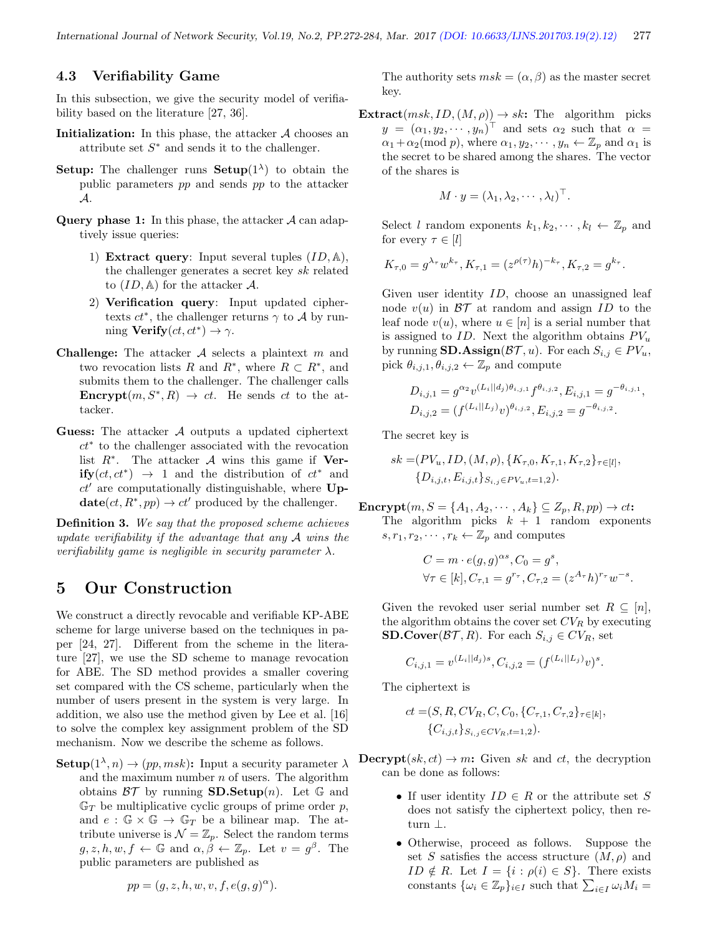#### 4.3 Verifiability Game

In this subsection, we give the security model of verifiability based on the literature [27, 36].

- Initialization: In this phase, the attacker  $A$  chooses an attribute set  $S^*$  and sends it to the challenger.
- **Setup:** The challenger runs **Setup** $(1^{\lambda})$  to obtain the public parameters pp and sends pp to the attacker A.
- **Query phase 1:** In this phase, the attacker  $\mathcal A$  can adaptively issue queries:
	- 1) Extract query: Input several tuples  $(ID, \mathbb{A}),$ the challenger generates a secret key sk related to  $(ID, \mathbb{A})$  for the attacker A.
	- 2) Verification query: Input updated ciphertexts  $ct^*$ , the challenger returns  $\gamma$  to A by running  $Verify(ct, ct^*) \rightarrow \gamma$ .
- **Challenge:** The attacker  $A$  selects a plaintext  $m$  and two revocation lists R and  $R^*$ , where  $R \subset R^*$ , and submits them to the challenger. The challenger calls **Encrypt** $(m, S^*, R) \rightarrow ct$ . He sends ct to the attacker.
- Guess: The attacker A outputs a updated ciphertext ct<sup>∗</sup> to the challenger associated with the revocation list  $R^*$ . The attacker  $\mathcal A$  wins this game if Ver**ify**( $ct, ct^*$ ) → 1 and the distribution of  $ct^*$  and  $ct'$  are computationally distinguishable, where Up- $\textbf{date}(ct, R^*, pp) \rightarrow ct'$  produced by the challenger.

Definition 3. We say that the proposed scheme achieves update verifiability if the advantage that any A wins the verifiability game is negligible in security parameter  $\lambda$ .

### 5 Our Construction

We construct a directly revocable and verifiable KP-ABE scheme for large universe based on the techniques in paper [24, 27]. Different from the scheme in the literature [27], we use the SD scheme to manage revocation for ABE. The SD method provides a smaller covering set compared with the CS scheme, particularly when the number of users present in the system is very large. In addition, we also use the method given by Lee et al. [16] to solve the complex key assignment problem of the SD mechanism. Now we describe the scheme as follows.

**Setup** $(1^{\lambda}, n) \rightarrow (pp, msk)$ : Input a security parameter  $\lambda$ and the maximum number  $n$  of users. The algorithm obtains  $\mathcal{BT}$  by running **SD.Setup** $(n)$ . Let G and  $\mathbb{G}_T$  be multiplicative cyclic groups of prime order p, and  $e : \mathbb{G} \times \mathbb{G} \to \mathbb{G}_T$  be a bilinear map. The attribute universe is  $\mathcal{N} = \mathbb{Z}_p$ . Select the random terms  $g, z, h, w, f \leftarrow \mathbb{G}$  and  $\alpha, \beta \leftarrow \mathbb{Z}_p$ . Let  $v = g^{\beta}$ . The public parameters are published as

$$
pp = (g, z, h, w, v, f, e(g, g)^{\alpha}).
$$

The authority sets  $msk = (\alpha, \beta)$  as the master secret key.

**Extract** $(msk, ID, (M, \rho)) \rightarrow sk$ : The algorithm picks  $y = (\alpha_1, y_2, \dots, y_n)^\top$  and sets  $\alpha_2$  such that  $\alpha =$  $\alpha_1 + \alpha_2 \pmod{p}$ , where  $\alpha_1, y_2, \dots, y_n \leftarrow \mathbb{Z}_p$  and  $\alpha_1$  is the secret to be shared among the shares. The vector of the shares is

$$
M \cdot y = (\lambda_1, \lambda_2, \cdots, \lambda_l)^\top.
$$

Select l random exponents  $k_1, k_2, \dots, k_l \leftarrow \mathbb{Z}_p$  and for every  $\tau \in [l]$ 

$$
K_{\tau,0} = g^{\lambda_{\tau}} w^{k_{\tau}}, K_{\tau,1} = (z^{\rho(\tau)} h)^{-k_{\tau}}, K_{\tau,2} = g^{k_{\tau}}.
$$

Given user identity ID, choose an unassigned leaf node  $v(u)$  in  $\beta\mathcal{T}$  at random and assign ID to the leaf node  $v(u)$ , where  $u \in [n]$  is a serial number that is assigned to ID. Next the algorithm obtains  $PV_u$ by running **SD.Assign**( $\mathcal{BT}, u$ ). For each  $S_{i,j} \in PV_u$ , pick  $\theta_{i,j,1}, \theta_{i,j,2} \leftarrow \mathbb{Z}_p$  and compute

$$
D_{i,j,1} = g^{\alpha_2} v^{(L_i||d_j)\theta_{i,j,1}} f^{\theta_{i,j,2}}, E_{i,j,1} = g^{-\theta_{i,j,1}},
$$
  

$$
D_{i,j,2} = (f^{(L_i||L_j)}v)^{\theta_{i,j,2}}, E_{i,j,2} = g^{-\theta_{i,j,2}}.
$$

The secret key is

$$
sk = (PV_u, ID, (M, \rho), \{K_{\tau,0}, K_{\tau,1}, K_{\tau,2}\}_{\tau \in [l]}, \{D_{i,j,t}, E_{i,j,t}\}_{S_{i,j} \in PV_u, t=1,2}.
$$

 $\mathbf{Encryption}, S = \{A_1, A_2, \cdots, A_k\} \subseteq Z_p, R, pp) \rightarrow ct$ : The algorithm picks  $k + 1$  random exponents  $s, r_1, r_2, \cdots, r_k \leftarrow \mathbb{Z}_p$  and computes

$$
C = m \cdot e(g, g)^{\alpha s}, C_0 = g^s,
$$
  
\n
$$
\forall \tau \in [k], C_{\tau, 1} = g^{r_{\tau}}, C_{\tau, 2} = (z^{A_{\tau}} h)^{r_{\tau}} w^{-s}.
$$

Given the revoked user serial number set  $R \subseteq [n]$ , the algorithm obtains the cover set  $CV_R$  by executing **SD.Cover**( $\mathcal{BT}, R$ ). For each  $S_{i,j} \in CV_R$ , set

$$
C_{i,j,1} = v^{(L_i||d_j)s}, C_{i,j,2} = (f^{(L_i||L_j)}v)^s.
$$

The ciphertext is

$$
ct = (S, R, CV_R, C, C_0, \{C_{\tau,1}, C_{\tau,2}\}_{\tau \in [k]},
$$
  

$$
\{C_{i,j,t}\}_{S_{i,j} \in CV_R, t=1,2}.
$$

 $\textbf{Decrypt}(sk, ct) \rightarrow m$ : Given sk and ct, the decryption can be done as follows:

- If user identity  $ID \in R$  or the attribute set S does not satisfy the ciphertext policy, then return ⊥.
- Otherwise, proceed as follows. Suppose the set S satisfies the access structure  $(M, \rho)$  and  $ID \notin R$ . Let  $I = \{i : \rho(i) \in S\}$ . There exists constants  $\{\omega_i \in \mathbb{Z}_p\}_{i \in I}$  such that  $\sum_{i \in I} \omega_i M_i =$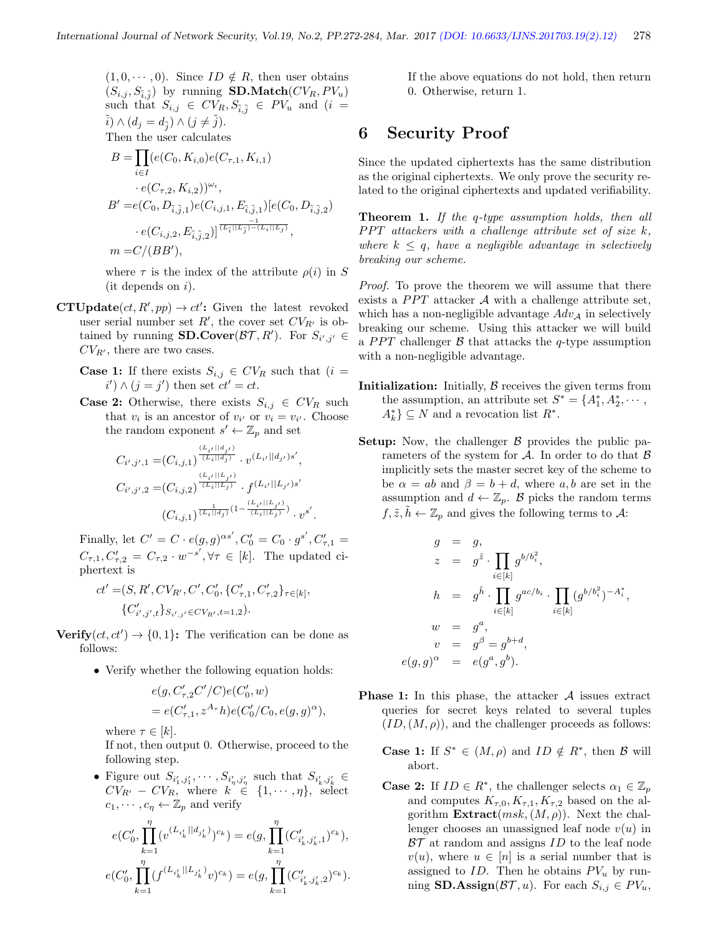$(1, 0, \dots, 0)$ . Since  $ID \notin R$ , then user obtains  $(S_{i,j}, S_{\tilde{i},\tilde{j}})$  by running **SD.Match** $(CV_R, PV_u)$ such that  $S_{i,j} \in CV_R, S_{\tilde{i},\tilde{j}} \in PV_u$  and  $(i =$  $\tilde{i}) \wedge (d_j = d_{\tilde{j}}) \wedge (j \neq \tilde{j}).$ Then the user calculates

 $B=\prod$ i∈I  $(e(C_0, K_{i,0})e(C_{\tau,1}, K_{i,1})$  $\cdot e(C_{\tau,2}, K_{i,2}))^{\omega_i},$  $B' = e(C_0, D_{\tilde{i},\tilde{j},1}) e(C_{i,j,1}, E_{\tilde{i},\tilde{j},1}) [e(C_0, D_{\tilde{i},\tilde{j},2})]$  $\cdot \, e(C_{i,j,2}, E_{\tilde{i},\tilde{j},2})]^{\frac{-1}{(L_{\tilde{i}}||L_{\tilde{j}})-(L_{i}||L_{j})}},$  $m = C/(BB'),$ 

where  $\tau$  is the index of the attribute  $\rho(i)$  in S  $(it$  depends on  $i$ ).

- **CTUpdate** $(ct, R', pp) \rightarrow ct'$ : Given the latest revoked user serial number set  $R'$ , the cover set  $CV_{R'}$  is obtained by running **SD.Cover** $(\mathcal{BT}, R')$ . For  $S_{i',j'} \in$  $CV_{R'}$ , there are two cases.
	- **Case 1:** If there exists  $S_{i,j} \in CV_R$  such that  $(i =$  $i') \wedge (j = j')$  then set  $ct' = ct$ .
	- **Case 2:** Otherwise, there exists  $S_{i,j} \in CV_R$  such that  $v_i$  is an ancestor of  $v_{i'}$  or  $v_i = v_{i'}$ . Choose the random exponent  $s' \leftarrow \mathbb{Z}_p$  and set

$$
C_{i',j',1} = (C_{i,j,1})^{\frac{(L_{i'}||d_{j'})}{(L_i||d_j)}} \cdot v^{(L_{i'}||d_{j'})s'},
$$
  
\n
$$
C_{i',j',2} = (C_{i,j,2})^{\frac{(L_{i'}||L_{j'})}{(L_i||L_j)}} \cdot f^{(L_{i'}||L_{j'})s'}
$$
  
\n
$$
(C_{i,j,1})^{\frac{1}{(L_i||d_j)}}^{(L_{i'}||d_j)} \cdot v^{s'}
$$

.

Finally, let  $C' = C \cdot e(g, g)^{\alpha s'}$ ,  $C'_0 = C_0 \cdot g^{s'}$ ,  $C'_{\tau,1} =$  $C_{\tau,1}, C'_{\tau,2} = C_{\tau,2} \cdot w^{-s'}, \forall \tau \in [k]$ . The updated ciphertext is

$$
\begin{aligned} ct'=&(S,R',CV_{R'},C',C_0',\{C_{\tau,1}',C_{\tau,2}'\}_{\tau\in[k]},\\ &\{C_{i',j',t}'\}_{S_{i',j'}\in CV_{R'},t=1,2}). \end{aligned}
$$

Verify $(ct, ct') \rightarrow \{0, 1\}$ : The verification can be done as follows:

• Verify whether the following equation holds:

$$
\begin{aligned} &e(g,C'_{\tau,2}C'/C)e(C'_0,w)\\ &=e(C'_{\tau,1},z^{A_\tau}h)e(C'_0/C_0,e(g,g)^{\alpha}), \end{aligned}
$$

where  $\tau \in [k]$ .

If not, then output 0. Otherwise, proceed to the following step.

• Figure out  $S_{i'_1,j'_1},\cdots,S_{i'_\eta,j'_\eta}$  such that  $S_{i'_k,j'_k}$  $CV_{R'} - CV_R$ , where  $k \in \{1, \cdots, \eta\}$ , select  $c_1, \dots, c_n \leftarrow \mathbb{Z}_p$  and verify

$$
e(C'_0, \prod_{k=1}^{\eta} (v^{(L_{i'_k}||d_{j'_k})})^{c_k}) = e(g, \prod_{k=1}^{\eta} (C'_{i'_k, j'_k, 1})^{c_k}),
$$
  

$$
e(C'_0, \prod_{k=1}^{\eta} (f^{(L_{i'_k}||L_{j'_k})}v)^{c_k}) = e(g, \prod_{k=1}^{\eta} (C'_{i'_k, j'_k, 2})^{c_k}).
$$

If the above equations do not hold, then return 0. Otherwise, return 1.

## 6 Security Proof

Since the updated ciphertexts has the same distribution as the original ciphertexts. We only prove the security related to the original ciphertexts and updated verifiability.

**Theorem 1.** If the q-type assumption holds, then all  $PPT$  attackers with a challenge attribute set of size k, where  $k \leq q$ , have a negligible advantage in selectively breaking our scheme.

Proof. To prove the theorem we will assume that there exists a  $PPT$  attacker  $A$  with a challenge attribute set, which has a non-negligible advantage  $Adv_{\mathcal{A}}$  in selectively breaking our scheme. Using this attacker we will build a *PPT* challenger  $\beta$  that attacks the *q*-type assumption with a non-negligible advantage.

- **Initialization:** Initially,  $\beta$  receives the given terms from the assumption, an attribute set  $S^* = \{A_1^*, A_2^*, \cdots, A_n^*\}$  $A_k^*$   $\subseteq$  N and a revocation list  $R^*$ .
- **Setup:** Now, the challenger  $\beta$  provides the public parameters of the system for  $A$ . In order to do that  $B$ implicitly sets the master secret key of the scheme to be  $\alpha = ab$  and  $\beta = b + d$ , where a, b are set in the assumption and  $d \leftarrow \mathbb{Z}_p$ . B picks the random terms  $f, \tilde{z}, h \leftarrow \mathbb{Z}_p$  and gives the following terms to A:

$$
g = g,
$$
  
\n
$$
z = g^{\tilde{z}} \cdot \prod_{i \in [k]} g^{b/b_i^2},
$$
  
\n
$$
h = g^{\tilde{h}} \cdot \prod_{i \in [k]} g^{ac/b_i} \cdot \prod_{i \in [k]} (g^{b/b_i^2})^{-A_i^*},
$$
  
\n
$$
w = g^a,
$$
  
\n
$$
v = g^\beta = g^{b+d},
$$
  
\n
$$
e(g, g)^\alpha = e(g^a, g^b).
$$

- **Phase 1:** In this phase, the attacker  $A$  issues extract queries for secret keys related to several tuples  $(ID,(M,\rho))$ , and the challenger proceeds as follows:
	- **Case 1:** If  $S^* \in (M, \rho)$  and  $ID \notin R^*$ , then B will abort.
	- **Case 2:** If  $ID \in R^*$ , the challenger selects  $\alpha_1 \in \mathbb{Z}_p$ and computes  $K_{\tau,0}, K_{\tau,1}, K_{\tau,2}$  based on the algorithm  $\text{Extract}(msk,(M,\rho)).$  Next the challenger chooses an unassigned leaf node  $v(u)$  in  $BT$  at random and assigns  $ID$  to the leaf node  $v(u)$ , where  $u \in [n]$  is a serial number that is assigned to ID. Then he obtains  $PV_u$  by running **SD.Assign**( $\mathcal{BT}, u$ ). For each  $S_{i,j} \in PV_u$ ,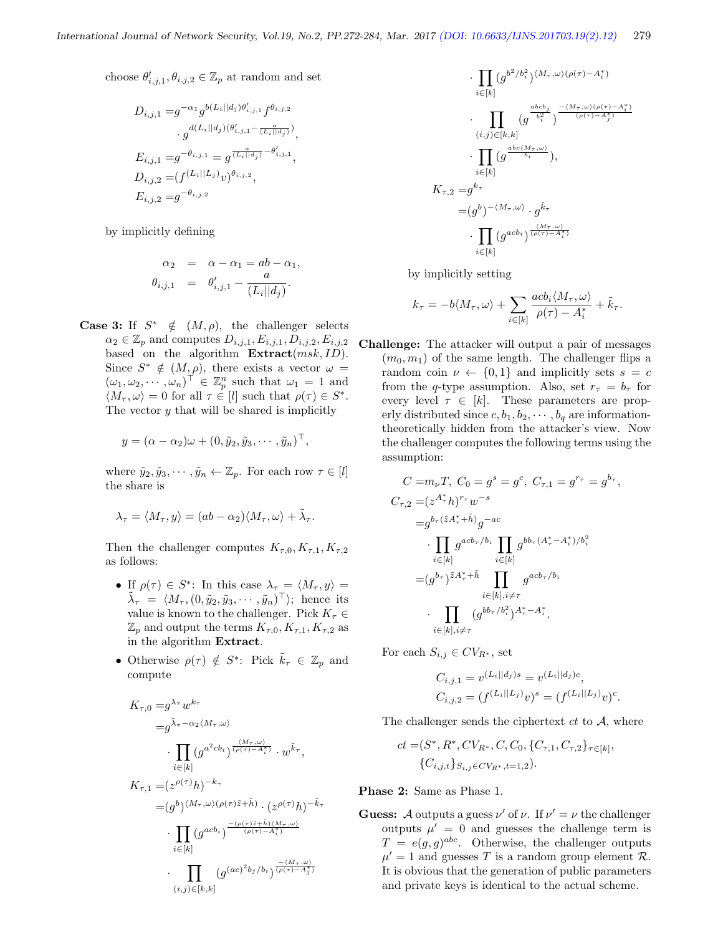choose  $\theta'_{i,j,1}, \theta_{i,j,2} \in \mathbb{Z}_p$  at random and set

$$
D_{i,j,1} = g^{-\alpha_1} g^{b(L_i||d_j)\theta'_{i,j,1}} f^{\theta_{i,j,2}} \n\cdot g^{d(L_i||d_j)(\theta'_{i,j,1} - \frac{a}{(L_i||d_j)})},
$$
\n
$$
E_{i,j,1} = g^{-\theta_{i,j,1}} = g^{\frac{a}{(L_i||d_j)} - \theta'_{i,j,1}},
$$
\n
$$
D_{i,j,2} = (f^{(L_i||L_j)}v)^{\theta_{i,j,2}},
$$
\n
$$
E_{i,j,2} = g^{-\theta_{i,j,2}}
$$

by implicitly defining

$$
\alpha_2 = \alpha - \alpha_1 = ab - \alpha_1,
$$
  

$$
\theta_{i,j,1} = \theta'_{i,j,1} - \frac{a}{(L_i||d_j)}.
$$

**Case 3:** If  $S^* \notin (M, \rho)$ , the challenger selects  $\alpha_2 \in \mathbb{Z}_p$  and computes  $D_{i,j,1}, E_{i,j,1}, D_{i,j,2}, E_{i,j,2}$ based on the algorithm  $\textbf{Extract}(msk, ID)$ . Since  $S^* \notin (M, \rho)$ , there exists a vector  $\omega =$  $(\omega_1, \omega_2, \cdots, \omega_n)^\top \in \mathbb{Z}_p^n$  such that  $\omega_1 = 1$  and  $\langle M_\tau,\omega\rangle=0$  for all  $\tau\in[l]$  such that  $\rho(\tau)\in S^*$ . The vector  $y$  that will be shared is implicitly

$$
y = (\alpha - \alpha_2)\omega + (0, \tilde{y}_2, \tilde{y}_3, \cdots, \tilde{y}_n)^\top,
$$

where  $\tilde{y}_2, \tilde{y}_3, \cdots, \tilde{y}_n \leftarrow \mathbb{Z}_p$ . For each row  $\tau \in [l]$ the share is

$$
\lambda_{\tau} = \langle M_{\tau}, y \rangle = (ab - \alpha_2) \langle M_{\tau}, \omega \rangle + \tilde{\lambda}_{\tau}.
$$

Then the challenger computes  $K_{\tau,0}, K_{\tau,1}, K_{\tau,2}$ as follows:

- If  $\rho(\tau) \in S^*$ : In this case  $\lambda_{\tau} = \langle M_{\tau}, y \rangle =$  $\tilde{\lambda}_{\tau} = \langle M_{\tau}, (0, \tilde{y}_2, \tilde{y}_3, \cdots, \tilde{y}_n)^\top \rangle;$  hence its value is known to the challenger. Pick  $K_\tau \in$  $\mathbb{Z}_p$  and output the terms  $K_{\tau,0}, K_{\tau,1}, K_{\tau,2}$  as in the algorithm Extract.
- Otherwise  $\rho(\tau) \notin S^*$ : Pick  $\tilde{k}_{\tau} \in \mathbb{Z}_p$  and compute

$$
K_{\tau,0} = g^{\lambda_{\tau}} w^{k_{\tau}}
$$
  
\n
$$
= g^{\tilde{\lambda}_{\tau} - \alpha_{2} \langle M_{\tau}, \omega \rangle}
$$
  
\n
$$
\cdot \prod_{i \in [k]} (g^{a^{2}cb_{i}})^{\frac{(M_{\tau}, \omega)}{(\rho(\tau) - A_{i}^{*})}} \cdot w^{\tilde{k}_{\tau}},
$$
  
\n
$$
K_{\tau,1} = (z^{\rho(\tau)})_{h})^{-k_{\tau}}
$$
  
\n
$$
= (g^{b})^{\langle M_{\tau}, \omega \rangle (\rho(\tau) \tilde{z} + \tilde{h})} \cdot (z^{\rho(\tau)})_{h})^{-\tilde{k}_{\tau}}
$$
  
\n
$$
\cdot \prod_{i \in [k]} (g^{acb_{i}})^{\frac{-(\rho(\tau) \tilde{z} + \tilde{h}) \langle M_{\tau}, \omega \rangle}{(\rho(\tau) - A_{i}^{*})}}
$$
  
\n
$$
\cdot \prod_{(i,j) \in [k,k]} (g^{(ac)^{2}b_{j}/b_{i}})^{\frac{-(M_{\tau}, \omega)}{(\rho(\tau) - A_{j}^{*})}}
$$

$$
\cdot \prod_{i \in [k]} (g^{b^2/b_i^2})^{\langle M_{\tau}, \omega \rangle (\rho(\tau) - A_i^*)}
$$
\n
$$
\cdot \prod_{(i,j) \in [k,k]} (g^{\frac{abc b_j}{b_i^2}})^{\frac{-(M_{\tau}, \omega)(\rho(\tau) - A_i^*)}{(\rho(\tau) - A_j^*)}}
$$
\n
$$
\cdot \prod_{i \in [k]} (g^{\frac{abc \langle M_{\tau}, \omega \rangle}{b_i}}),
$$
\n
$$
K_{\tau,2} = g^{k_{\tau}}
$$
\n
$$
= (g^b)^{-(M_{\tau}, \omega)} \cdot g^{\tilde{k}_{\tau}}
$$
\n
$$
\cdot \prod_{i \in [k]} (g^{acb_i})^{\frac{(M_{\tau}, \omega)}{(\rho(\tau) - A_i^*)}}
$$

by implicitly setting

$$
k_{\tau} = -b \langle M_{\tau}, \omega \rangle + \sum_{i \in [k]} \frac{acb_i \langle M_{\tau}, \omega \rangle}{\rho(\tau) - A_i^*} + \tilde{k}_{\tau}.
$$

Challenge: The attacker will output a pair of messages  $(m_0, m_1)$  of the same length. The challenger flips a random coin  $\nu \leftarrow \{0,1\}$  and implicitly sets  $s = c$ from the q-type assumption. Also, set  $r_{\tau} = b_{\tau}$  for every level  $\tau \in [k]$ . These parameters are properly distributed since  $c, b_1, b_2, \cdots, b_q$  are informationtheoretically hidden from the attacker's view. Now the challenger computes the following terms using the assumption:

$$
C = m_{\nu}T, C_0 = g^s = g^c, C_{\tau,1} = g^{r_{\tau}} = g^{b_{\tau}},
$$
  
\n
$$
C_{\tau,2} = (z^{A_{\tau}^*}h)^{r_{\tau}}w^{-s}
$$
  
\n
$$
= g^{b_{\tau}(\tilde{z}A_{\tau}^* + \tilde{h})}g^{-ac}
$$
  
\n
$$
\cdot \prod_{i \in [k]} g^{acb_{\tau}/b_i} \prod_{i \in [k]} g^{bb_{\tau}(A_{\tau}^* - A_i^*)/b_i^2}
$$
  
\n
$$
= (g^{b_{\tau}})^{\tilde{z}A_{\tau}^* + \tilde{h}} \prod_{i \in [k], i \neq \tau} g^{acb_{\tau}/b_i}
$$
  
\n
$$
\cdot \prod_{i \in [k], i \neq \tau} (g^{bb_{\tau}/b_i^2})^{A_{\tau}^* - A_i^*}.
$$

For each  $S_{i,j} \in CV_{R^*}$ , set

$$
C_{i,j,1} = v^{(L_i||d_j)s} = v^{(L_i||d_j)c},
$$
  
\n
$$
C_{i,j,2} = (f^{(L_i||L_j)}v)^s = (f^{(L_i||L_j)}v)^c.
$$

The challenger sends the ciphertext  $ct$  to  $A$ , where

$$
ct = (S^*, R^*, CV_{R^*}, C, C_0, \{C_{\tau,1}, C_{\tau,2}\}_{\tau \in [k]},
$$
  

$$
\{C_{i,j,t}\}_{S_{i,j} \in CV_{R^*}, t=1,2}.
$$

Phase 2: Same as Phase 1.

**Guess:** A outputs a guess  $\nu'$  of  $\nu$ . If  $\nu' = \nu$  the challenger outputs  $\mu' = 0$  and guesses the challenge term is  $T = e(g, g)^{abc}$ . Otherwise, the challenger outputs  $\mu' = 1$  and guesses T is a random group element R. It is obvious that the generation of public parameters and private keys is identical to the actual scheme.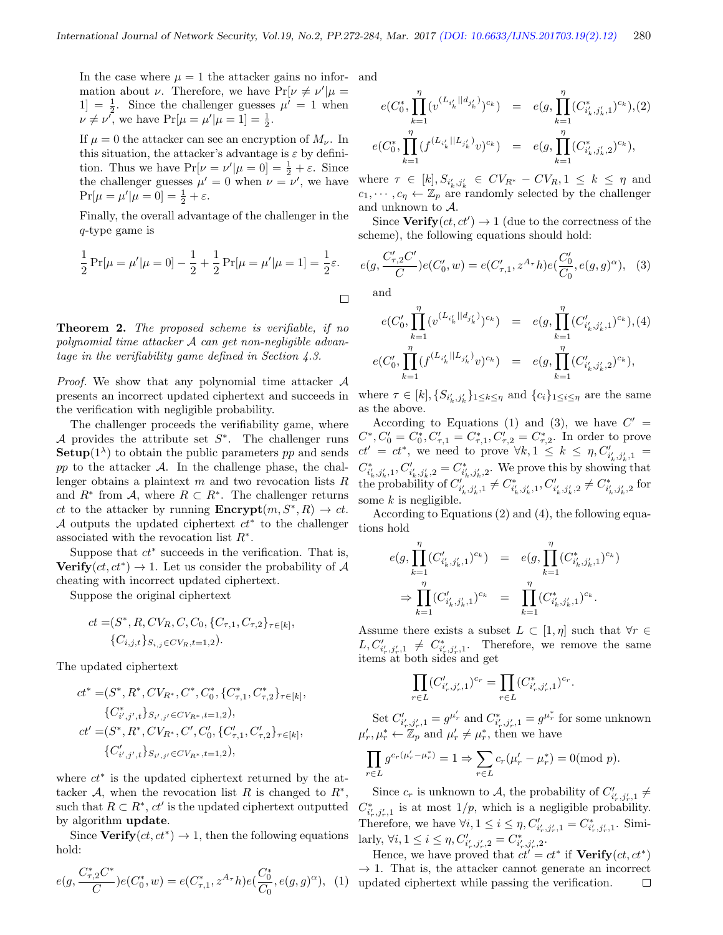In the case where  $\mu = 1$  the attacker gains no information about  $\nu$ . Therefore, we have  $Pr[\nu \neq \nu']\mu =$  $1] = \frac{1}{2}$ . Since the challenger guesses  $\mu' = 1$  when  $\nu \neq \nu^{\prime}$ , we have  $Pr[\mu = \mu^{\prime} | \mu = 1] = \frac{1}{2}$ .

If  $\mu = 0$  the attacker can see an encryption of  $M_{\nu}$ . In this situation, the attacker's advantage is  $\varepsilon$  by definition. Thus we have  $Pr[\nu = \nu' | \mu = 0] = \frac{1}{2} + \varepsilon$ . Since the challenger guesses  $\mu' = 0$  when  $\nu = \nu'$ , we have  $Pr[\mu = \mu' | \mu = 0] = \frac{1}{2} + \varepsilon.$ 

Finally, the overall advantage of the challenger in the q-type game is

$$
\frac{1}{2}\Pr[\mu = \mu'|\mu = 0] - \frac{1}{2} + \frac{1}{2}\Pr[\mu = \mu'|\mu = 1] = \frac{1}{2}\varepsilon.
$$

Theorem 2. The proposed scheme is verifiable, if no polynomial time attacker A can get non-negligible advantage in the verifiability game defined in Section 4.3.

*Proof.* We show that any polynomial time attacker  $A$ presents an incorrect updated ciphertext and succeeds in the verification with negligible probability.

The challenger proceeds the verifiability game, where A provides the attribute set  $S^*$ . The challenger runs **Setup**( $1^{\lambda}$ ) to obtain the public parameters pp and sends  $pp$  to the attacker  $A$ . In the challenge phase, the challenger obtains a plaintext  $m$  and two revocation lists  $R$ and  $R^*$  from A, where  $R \subset R^*$ . The challenger returns ct to the attacker by running  $\text{Encrypt}(m, S^*, R) \to ct$ . A outputs the updated ciphertext  $ct^*$  to the challenger associated with the revocation list  $R^*$ .

Suppose that  $ct^*$  succeeds in the verification. That is, Verify $(ct, ct^*) \rightarrow 1$ . Let us consider the probability of A cheating with incorrect updated ciphertext.

Suppose the original ciphertext

$$
ct = (S^*, R, CV_R, C, C_0, \{C_{\tau,1}, C_{\tau,2}\}_{\tau \in [k]},
$$
  

$$
\{C_{i,j,t}\}_{S_{i,j} \in CV_R, t=1,2}.
$$

The updated ciphertext

$$
ct^* = (S^*, R^*, CV_{R^*}, C^*, C_0^*, \{C_{\tau,1}^*, C_{\tau,2}^*\}_{\tau \in [k]},
$$
  
\n
$$
\{C_{i',j',t}^*\}_{S_{i',j'} \in CV_{R^*}, t=1,2}),
$$
  
\n
$$
ct' = (S^*, R^*, CV_{R^*}, C', C_0', \{C_{\tau,1}', C_{\tau,2}'\}_{\tau \in [k]},
$$
  
\n
$$
\{C_{i',j',t}'\}_{S_{i',j'} \in CV_{R^*}, t=1,2}),
$$

where  $ct^*$  is the updated ciphertext returned by the attacker  $A$ , when the revocation list R is changed to  $R^*$ , such that  $R \subset R^*$ ,  $ct'$  is the updated ciphertext outputted by algorithm update.

Since  $Verify(ct, ct^*) \rightarrow 1$ , then the following equations hold:

$$
e(g, \frac{C_{\tau,2}^* C^*}{C})e(C_0^*, w) = e(C_{\tau,1}^*, z^{A_\tau} h)e(\frac{C_0^*}{C_0}, e(g,g)^\alpha), \tag{1}
$$

and

$$
e(C_0^*, \prod_{k=1}^{\eta} (v^{(L_{i'_k}||d_{j'_k})})^{c_k}) = e(g, \prod_{k=1}^{\eta} (C_{i'_k, j'_k, 1}^{*})^{c_k}), (2)
$$
  

$$
e(C_0^*, \prod_{k=1}^{\eta} (f^{(L_{i'_k}||L_{j'_k})}v)^{c_k}) = e(g, \prod_{k=1}^{\eta} (C_{i'_k, j'_k, 2}^{*})^{c_k}),
$$

where  $\tau \in [k], S_{i'_{k}, j'_{k}} \in CV_{R^{*}} - CV_{R}, 1 \leq k \leq \eta$  and  $c_1, \dots, c_\eta \leftarrow \mathbb{Z}_p$  are randomly selected by the challenger and unknown to A.

Since  $Verify(ct, ct') \rightarrow 1$  (due to the correctness of the scheme), the following equations should hold:

$$
e(g, \frac{C'_{\tau,2}C'}{C})e(C'_0, w) = e(C'_{\tau,1}, z^{A_{\tau}}h)e(\frac{C'_0}{C_0}, e(g, g)^{\alpha}), \quad (3)
$$

and

$$
e(C'_0, \prod_{k=1}^{\eta} (v^{(L_{i'_k}||d_{j'_k})})^{c_k}) = e(g, \prod_{k=1}^{\eta} (C'_{i'_k, j'_k, 1})^{c_k}), (4)
$$
  

$$
e(C'_0, \prod_{k=1}^{\eta} (f^{(L_{i'_k}||L_{j'_k})}v)^{c_k}) = e(g, \prod_{k=1}^{\eta} (C'_{i'_k, j'_k, 2})^{c_k}),
$$

where  $\tau \in [k], \{S_{i'_k,j'_k}\}_{1 \leq k \leq \eta}$  and  $\{c_i\}_{1 \leq i \leq \eta}$  are the same as the above.

According to Equations (1) and (3), we have  $C' =$  $C^*, C'_0 = C^*_0, C'_{\tau,1} = C^*_{\tau,1}, C'_{\tau,2} = C^*_{\tau,2}.$  In order to prove  $ct' = ct^*$ , we need to prove  $\forall k, 1 \leq k \leq \eta, C'_{i'_k, j'_k, 1}$  $C^*_{i'_k, j'_k, 1}, C'_{i'_k, j'_k, 2} = C^*_{i'_k, j'_k, 2}.$  We prove this by showing that the probability of  $C_{i'_k,j'_k,1}^{j^*_{k,j'_k,1}} \neq C_{i'_k,j'_k,1}^*$ ,  $C_{i'_k,j'_k,2}^{j^*_{k,j'_k,2}} \neq C_{i'_k,j'_k,2}^*$  for some  $k$  is negligible.

According to Equations (2) and (4), the following equations hold

$$
\begin{array}{lcl} e(g,\displaystyle\prod_{k=1}^{\eta}(C'_{i'_{k},j'_{k},1})^{c_{k}}) & = & e(g,\displaystyle\prod_{k=1}^{\eta}(C^{*}_{i'_{k},j'_{k},1})^{c_{k}}) \\ \Rightarrow \displaystyle\prod_{k=1}^{\eta}(C'_{i'_{k},j'_{k},1})^{c_{k}} & = & \displaystyle\prod_{k=1}^{\eta}(C^{*}_{i'_{k},j'_{k},1})^{c_{k}}. \end{array}
$$

Assume there exists a subset  $L \subset [1, \eta]$  such that  $\forall r \in$  $L, C'_{i'_r,j'_r,1} \neq C^*_{i'_r,j'_r,1}$ . Therefore, we remove the same items at both sides and get

$$
\prod_{r \in L} (C'_{i'_r, j'_r, 1})^{c_r} = \prod_{r \in L} (C^*_{i'_r, j'_r, 1})^{c_r}.
$$

Set  $C'_{i'_r, j'_r, 1} = g^{\mu'_r}$  and  $C^*_{i'_r, j'_r, 1} = g^{\mu^*_{r}}$  for some unknown  $\mu'_r, \mu^*_r \leftarrow \mathbb{Z}_p$  and  $\mu'_r \neq \mu^*_r$ , then we have

$$
\prod_{r \in L} g^{c_r(\mu'_r - \mu^*_r)} = 1 \Rightarrow \sum_{r \in L} c_r(\mu'_r - \mu^*_r) = 0 \pmod{p}.
$$

Since  $c_r$  is unknown to  $\mathcal{A}$ , the probability of  $C'_{i'_r, j'_r, 1} \neq$  $C^*_{i'_r,j'_r,1}$  is at most  $1/p$ , which is a negligible probability. Therefore, we have  $\forall i, 1 \leq i \leq \eta, C'_{i'_r, j'_r, 1} = C^*_{i'_r, j'_r, 1}$ . Similarly,  $\forall i, 1 \leq i \leq \eta, C'_{i'_r, j'_r, 2} = C^*_{i'_r, j'_r, 2}.$ 

Hence, we have proved that  $ct' = ct^*$  if  $Verify(ct, ct^*)$  $\rightarrow$  1. That is, the attacker cannot generate an incorrect updated ciphertext while passing the verification. $\Box$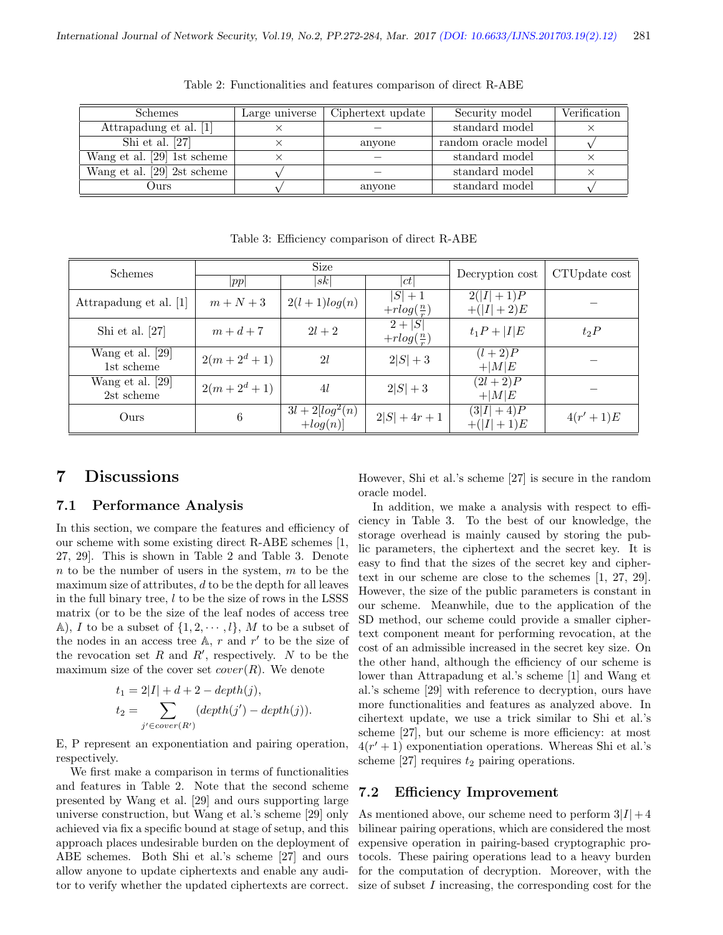| <b>Schemes</b>                | Large universe | Ciphertext update | Security model      | Verification |
|-------------------------------|----------------|-------------------|---------------------|--------------|
| Attrapadung et al. [1]        |                |                   | standard model      |              |
| Shi et al. $[27]$             |                | anyone            | random oracle model |              |
| Wang et al. [29] 1st scheme   |                |                   | standard model      |              |
| Wang et al. $[29]$ 2st scheme |                |                   | standard model      |              |
| Ours)                         |                | anyone            | standard model      |              |

Table 2: Functionalities and features comparison of direct R-ABE

| Schemes                        | Size         |                                      |                                   | Decryption cost            | CTUpdate cost |
|--------------------------------|--------------|--------------------------------------|-----------------------------------|----------------------------|---------------|
|                                | pp           | sk                                   | ct                                |                            |               |
| Attrapadung et al. [1]         | $m+N+3$      | $2(l+1)log(n)$                       | $ S  + 1$<br>$+rlog(\frac{n}{r})$ | $2( I +1)P$<br>$+( I +2)E$ |               |
| Shi et al. $[27]$              | $m+d+7$      | $2l+2$                               | $2 +  S $<br>$+rlog(\frac{n}{r})$ | $t_1P+ I E$                | $t_2P$        |
| Wang et al. [29]<br>1st scheme | $2(m+2^d+1)$ | 2l                                   | $2 S  + 3$                        | $(l+2)P$<br>$+ M E$        |               |
| Wang et al. [29]<br>2st scheme | $2(m+2^d+1)$ | 41                                   | $2 S  + 3$                        | $(2l + 2)P$<br>$+ M E$     |               |
| Ours                           | 6            | $3l + 2\sqrt{log^2(n)}$<br>$+log(n)$ | $2 S  + 4r + 1$                   | $(3 I +4)P$<br>$+( I +1)E$ | $4(r'+1)E$    |

Table 3: Efficiency comparison of direct R-ABE

## 7 Discussions

#### 7.1 Performance Analysis

In this section, we compare the features and efficiency of our scheme with some existing direct R-ABE schemes [1, 27, 29]. This is shown in Table 2 and Table 3. Denote  $n$  to be the number of users in the system,  $m$  to be the maximum size of attributes,  $d$  to be the depth for all leaves in the full binary tree,  $l$  to be the size of rows in the LSSS matrix (or to be the size of the leaf nodes of access tree A), I to be a subset of  $\{1, 2, \dots, l\}$ , M to be a subset of the nodes in an access tree  $A$ ,  $r$  and  $r'$  to be the size of the revocation set  $R$  and  $R'$ , respectively.  $N$  to be the maximum size of the cover set  $cover(R)$ . We denote

$$
t_1 = 2|I| + d + 2 - depth(j),
$$
  
\n
$$
t_2 = \sum_{j' \in cover(R')} (depth(j') - depth(j)).
$$

E, P represent an exponentiation and pairing operation, respectively.

We first make a comparison in terms of functionalities and features in Table 2. Note that the second scheme presented by Wang et al. [29] and ours supporting large universe construction, but Wang et al.'s scheme [29] only achieved via fix a specific bound at stage of setup, and this approach places undesirable burden on the deployment of ABE schemes. Both Shi et al.'s scheme [27] and ours allow anyone to update ciphertexts and enable any auditor to verify whether the updated ciphertexts are correct. However, Shi et al.'s scheme [27] is secure in the random oracle model.

In addition, we make a analysis with respect to efficiency in Table 3. To the best of our knowledge, the storage overhead is mainly caused by storing the public parameters, the ciphertext and the secret key. It is easy to find that the sizes of the secret key and ciphertext in our scheme are close to the schemes [1, 27, 29]. However, the size of the public parameters is constant in our scheme. Meanwhile, due to the application of the SD method, our scheme could provide a smaller ciphertext component meant for performing revocation, at the cost of an admissible increased in the secret key size. On the other hand, although the efficiency of our scheme is lower than Attrapadung et al.'s scheme [1] and Wang et al.'s scheme [29] with reference to decryption, ours have more functionalities and features as analyzed above. In cihertext update, we use a trick similar to Shi et al.'s scheme [27], but our scheme is more efficiency: at most  $4(r'+1)$  exponentiation operations. Whereas Shi et al.'s scheme [27] requires  $t_2$  pairing operations.

### 7.2 Efficiency Improvement

As mentioned above, our scheme need to perform  $3|I|+4$ bilinear pairing operations, which are considered the most expensive operation in pairing-based cryptographic protocols. These pairing operations lead to a heavy burden for the computation of decryption. Moreover, with the size of subset I increasing, the corresponding cost for the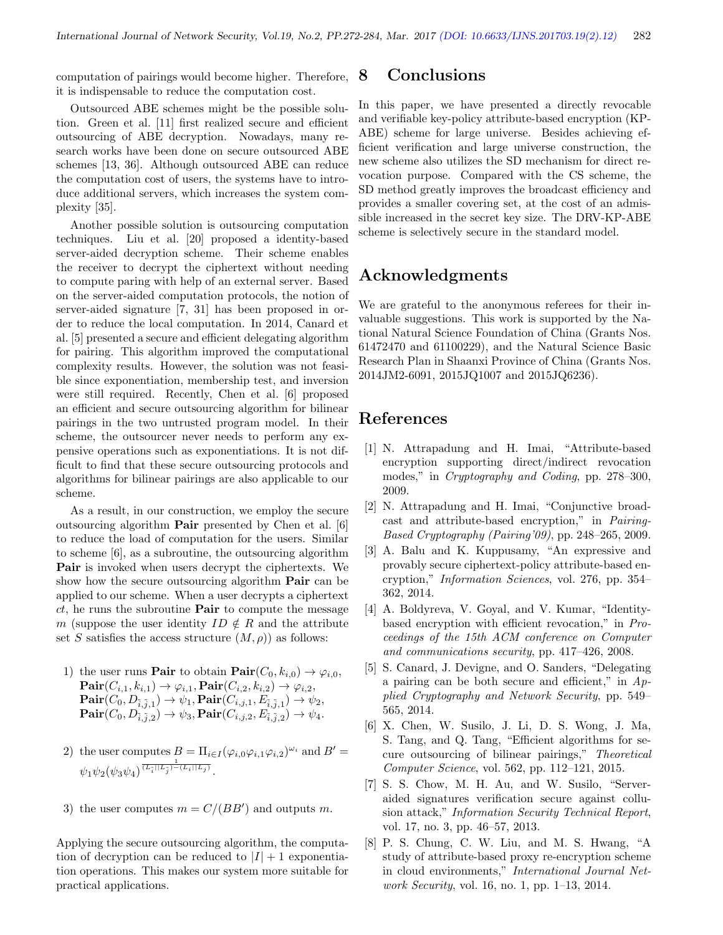computation of pairings would become higher. Therefore, it is indispensable to reduce the computation cost.

Outsourced ABE schemes might be the possible solution. Green et al. [11] first realized secure and efficient outsourcing of ABE decryption. Nowadays, many research works have been done on secure outsourced ABE schemes [13, 36]. Although outsourced ABE can reduce the computation cost of users, the systems have to introduce additional servers, which increases the system complexity [35].

Another possible solution is outsourcing computation techniques. Liu et al. [20] proposed a identity-based server-aided decryption scheme. Their scheme enables the receiver to decrypt the ciphertext without needing to compute paring with help of an external server. Based on the server-aided computation protocols, the notion of server-aided signature [7, 31] has been proposed in order to reduce the local computation. In 2014, Canard et al. [5] presented a secure and efficient delegating algorithm for pairing. This algorithm improved the computational complexity results. However, the solution was not feasible since exponentiation, membership test, and inversion were still required. Recently, Chen et al. [6] proposed an efficient and secure outsourcing algorithm for bilinear pairings in the two untrusted program model. In their scheme, the outsourcer never needs to perform any expensive operations such as exponentiations. It is not difficult to find that these secure outsourcing protocols and algorithms for bilinear pairings are also applicable to our scheme.

As a result, in our construction, we employ the secure outsourcing algorithm Pair presented by Chen et al. [6] to reduce the load of computation for the users. Similar to scheme [6], as a subroutine, the outsourcing algorithm Pair is invoked when users decrypt the ciphertexts. We show how the secure outsourcing algorithm **Pair** can be applied to our scheme. When a user decrypts a ciphertext  $ct$ , he runs the subroutine **Pair** to compute the message m (suppose the user identity  $ID \notin R$  and the attribute set S satisfies the access structure  $(M, \rho)$  as follows:

- 1) the user runs **Pair** to obtain  $\text{Pair}(C_0, k_{i,0}) \rightarrow \varphi_{i,0}$ ,  $\mathbf{Pair}(C_{i,1}, k_{i,1}) \rightarrow \varphi_{i,1}, \mathbf{Pair}(C_{i,2}, k_{i,2}) \rightarrow \varphi_{i,2},$  ${\bf Pair}(C_0, D_{\tilde{i},\tilde{j},1}) \rightarrow \psi_1, {\bf Pair}(C_{i,j,1}, E_{\tilde{i},\tilde{j},1}) \rightarrow \psi_2,$  ${\bf Pair}(C_0, D_{\tilde{i},\tilde{j},2}) \rightarrow \psi_3, {\bf Pair}(C_{i,j,2}, E_{\tilde{i},\tilde{j},2}) \rightarrow \psi_4.$
- 2) the user computes  $B = \prod_{i \in I} (\varphi_{i,0} \varphi_{i,1} \varphi_{i,2})^{\omega_i}$  and  $B' =$  $\psi_1 \psi_2(\psi_3 \psi_4)^{\frac{1}{(L_{\tilde{i}}||L_{\tilde{j}})-(L_i||L_j)}}.$
- 3) the user computes  $m = C/(BB')$  and outputs m.

Applying the secure outsourcing algorithm, the computation of decryption can be reduced to  $|I| + 1$  exponentiation operations. This makes our system more suitable for practical applications.

### 8 Conclusions

In this paper, we have presented a directly revocable and verifiable key-policy attribute-based encryption (KP-ABE) scheme for large universe. Besides achieving efficient verification and large universe construction, the new scheme also utilizes the SD mechanism for direct revocation purpose. Compared with the CS scheme, the SD method greatly improves the broadcast efficiency and provides a smaller covering set, at the cost of an admissible increased in the secret key size. The DRV-KP-ABE scheme is selectively secure in the standard model.

# Acknowledgments

We are grateful to the anonymous referees for their invaluable suggestions. This work is supported by the National Natural Science Foundation of China (Grants Nos. 61472470 and 61100229), and the Natural Science Basic Research Plan in Shaanxi Province of China (Grants Nos. 2014JM2-6091, 2015JQ1007 and 2015JQ6236).

### References

- [1] N. Attrapadung and H. Imai, "Attribute-based encryption supporting direct/indirect revocation modes," in Cryptography and Coding, pp. 278–300, 2009.
- [2] N. Attrapadung and H. Imai, "Conjunctive broadcast and attribute-based encryption," in Pairing-Based Cryptography (Pairing'09), pp. 248–265, 2009.
- [3] A. Balu and K. Kuppusamy, "An expressive and provably secure ciphertext-policy attribute-based encryption," Information Sciences, vol. 276, pp. 354– 362, 2014.
- [4] A. Boldyreva, V. Goyal, and V. Kumar, "Identitybased encryption with efficient revocation," in Proceedings of the 15th ACM conference on Computer and communications security, pp. 417–426, 2008.
- [5] S. Canard, J. Devigne, and O. Sanders, "Delegating a pairing can be both secure and efficient," in  $Ap$ plied Cryptography and Network Security, pp. 549– 565, 2014.
- [6] X. Chen, W. Susilo, J. Li, D. S. Wong, J. Ma, S. Tang, and Q. Tang, "Efficient algorithms for secure outsourcing of bilinear pairings," Theoretical Computer Science, vol. 562, pp. 112–121, 2015.
- [7] S. S. Chow, M. H. Au, and W. Susilo, "Serveraided signatures verification secure against collusion attack," Information Security Technical Report, vol. 17, no. 3, pp. 46–57, 2013.
- [8] P. S. Chung, C. W. Liu, and M. S. Hwang, "A study of attribute-based proxy re-encryption scheme in cloud environments," International Journal Network Security, vol. 16, no. 1, pp. 1–13, 2014.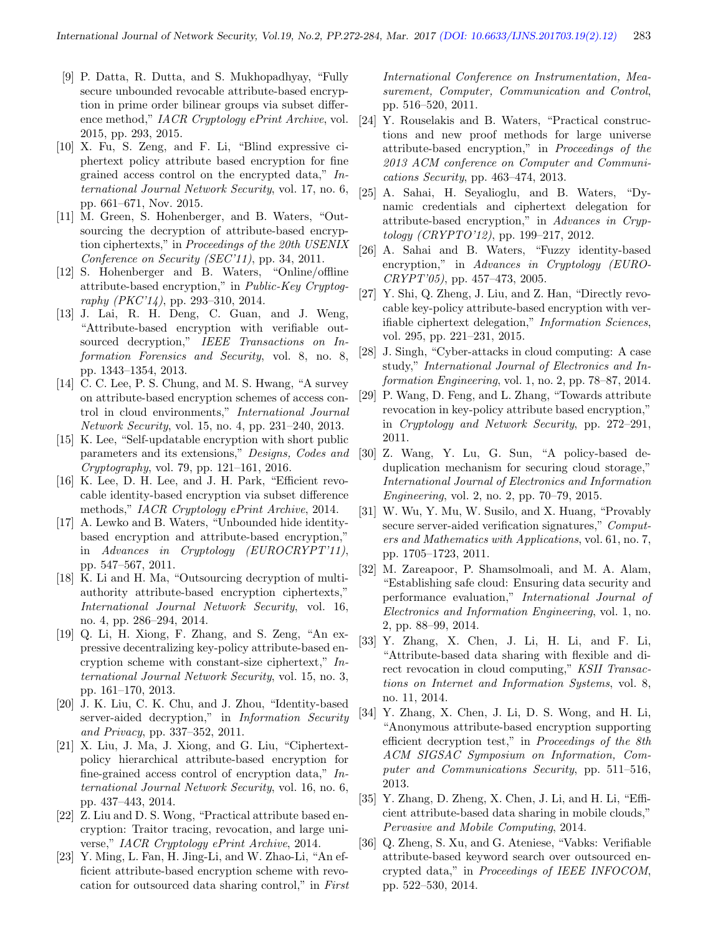- [9] P. Datta, R. Dutta, and S. Mukhopadhyay, "Fully secure unbounded revocable attribute-based encryption in prime order bilinear groups via subset difference method," IACR Cryptology ePrint Archive, vol. 2015, pp. 293, 2015.
- [10] X. Fu, S. Zeng, and F. Li, "Blind expressive ciphertext policy attribute based encryption for fine grained access control on the encrypted data," International Journal Network Security, vol. 17, no. 6, pp. 661–671, Nov. 2015.
- [11] M. Green, S. Hohenberger, and B. Waters, "Outsourcing the decryption of attribute-based encryption ciphertexts," in Proceedings of the 20th USENIX Conference on Security (SEC'11), pp. 34, 2011.
- [12] S. Hohenberger and B. Waters, "Online/offline attribute-based encryption," in Public-Key Cryptography (PKC'14), pp. 293–310, 2014.
- [13] J. Lai, R. H. Deng, C. Guan, and J. Weng, "Attribute-based encryption with verifiable outsourced decryption," IEEE Transactions on Information Forensics and Security, vol. 8, no. 8, pp. 1343–1354, 2013.
- [14] C. C. Lee, P. S. Chung, and M. S. Hwang, "A survey on attribute-based encryption schemes of access control in cloud environments," International Journal Network Security, vol. 15, no. 4, pp. 231–240, 2013.
- [15] K. Lee, "Self-updatable encryption with short public parameters and its extensions," Designs, Codes and Cryptography, vol. 79, pp. 121–161, 2016.
- [16] K. Lee, D. H. Lee, and J. H. Park, "Efficient revocable identity-based encryption via subset difference methods," IACR Cryptology ePrint Archive, 2014.
- [17] A. Lewko and B. Waters, "Unbounded hide identitybased encryption and attribute-based encryption," in Advances in Cryptology (EUROCRYPT'11), pp. 547–567, 2011.
- [18] K. Li and H. Ma, "Outsourcing decryption of multiauthority attribute-based encryption ciphertexts," International Journal Network Security, vol. 16, no. 4, pp. 286–294, 2014.
- [19] Q. Li, H. Xiong, F. Zhang, and S. Zeng, "An expressive decentralizing key-policy attribute-based encryption scheme with constant-size ciphertext," International Journal Network Security, vol. 15, no. 3, pp. 161–170, 2013.
- [20] J. K. Liu, C. K. Chu, and J. Zhou, "Identity-based server-aided decryption," in Information Security and Privacy, pp. 337–352, 2011.
- [21] X. Liu, J. Ma, J. Xiong, and G. Liu, "Ciphertextpolicy hierarchical attribute-based encryption for fine-grained access control of encryption data," International Journal Network Security, vol. 16, no. 6, pp. 437–443, 2014.
- [22] Z. Liu and D. S. Wong, "Practical attribute based encryption: Traitor tracing, revocation, and large universe," IACR Cryptology ePrint Archive, 2014.
- [23] Y. Ming, L. Fan, H. Jing-Li, and W. Zhao-Li, "An efficient attribute-based encryption scheme with revocation for outsourced data sharing control," in First

International Conference on Instrumentation, Measurement, Computer, Communication and Control, pp. 516–520, 2011.

- [24] Y. Rouselakis and B. Waters, "Practical constructions and new proof methods for large universe attribute-based encryption," in Proceedings of the 2013 ACM conference on Computer and Communications Security, pp. 463–474, 2013.
- [25] A. Sahai, H. Seyalioglu, and B. Waters, "Dynamic credentials and ciphertext delegation for attribute-based encryption," in Advances in Cryptology (CRYPTO'12), pp. 199–217, 2012.
- [26] A. Sahai and B. Waters, "Fuzzy identity-based encryption," in Advances in Cryptology (EURO-CRYPT'05), pp. 457–473, 2005.
- [27] Y. Shi, Q. Zheng, J. Liu, and Z. Han, "Directly revocable key-policy attribute-based encryption with verifiable ciphertext delegation," Information Sciences, vol. 295, pp. 221–231, 2015.
- [28] J. Singh, "Cyber-attacks in cloud computing: A case study," International Journal of Electronics and Information Engineering, vol. 1, no. 2, pp. 78–87, 2014.
- [29] P. Wang, D. Feng, and L. Zhang, "Towards attribute revocation in key-policy attribute based encryption," in Cryptology and Network Security, pp. 272–291, 2011.
- [30] Z. Wang, Y. Lu, G. Sun, "A policy-based deduplication mechanism for securing cloud storage," International Journal of Electronics and Information Engineering, vol. 2, no. 2, pp. 70–79, 2015.
- [31] W. Wu, Y. Mu, W. Susilo, and X. Huang, "Provably secure server-aided verification signatures," Computers and Mathematics with Applications, vol. 61, no. 7, pp. 1705–1723, 2011.
- [32] M. Zareapoor, P. Shamsolmoali, and M. A. Alam, "Establishing safe cloud: Ensuring data security and performance evaluation," International Journal of Electronics and Information Engineering, vol. 1, no. 2, pp. 88–99, 2014.
- [33] Y. Zhang, X. Chen, J. Li, H. Li, and F. Li, "Attribute-based data sharing with flexible and direct revocation in cloud computing," KSII Transactions on Internet and Information Systems, vol. 8, no. 11, 2014.
- [34] Y. Zhang, X. Chen, J. Li, D. S. Wong, and H. Li, "Anonymous attribute-based encryption supporting efficient decryption test," in Proceedings of the 8th ACM SIGSAC Symposium on Information, Computer and Communications Security, pp. 511–516, 2013.
- [35] Y. Zhang, D. Zheng, X. Chen, J. Li, and H. Li, "Efficient attribute-based data sharing in mobile clouds," Pervasive and Mobile Computing, 2014.
- [36] Q. Zheng, S. Xu, and G. Ateniese, "Vabks: Verifiable attribute-based keyword search over outsourced encrypted data," in Proceedings of IEEE INFOCOM, pp. 522–530, 2014.